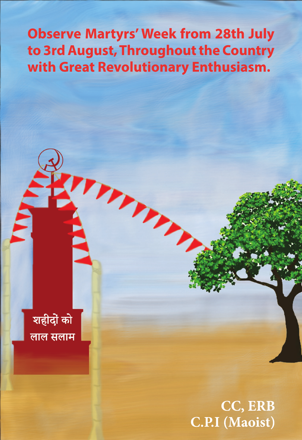## **Observe Martyrs' Week from 28th July** to 3rd August, Throughout the Country with Great Revolutionary Enthusiasm.

Trint

शहीदों को लाल सलाम

> CC, ERB **C.P.I** (Maoist)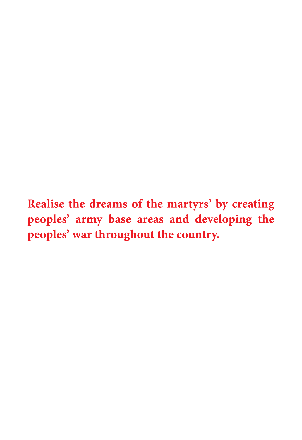Realise the dreams of the martyrs' by creating peoples' army base areas and developing the peoples' war throughout the country.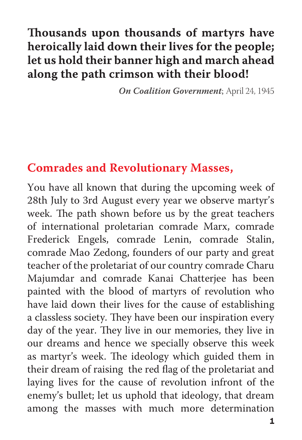## Thousands upon thousands of martyrs have heroically laid down their lives for the people; let us hold their banner high and march ahead along the path crimson with their blood!

**On Coalition Government**; April 24, 1945

## **Comrades and Revolutionary Masses,**

You have all known that during the upcoming week of 28th July to 3rd August every year we observe martyr's week. The path shown before us by the great teachers of international proletarian comrade Marx, comrade Frederick Engels, comrade Lenin, comrade Stalin, comrade Mao Zedong, founders of our party and great teacher of the proletariat of our country comrade Charu Majumdar and comrade Kanai Chatterjee has been painted with the blood of martyrs of revolution who have laid down their lives for the cause of establishing a classless society. They have been our inspiration every day of the year. They live in our memories, they live in our dreams and hence we specially observe this week as martyr's week. The ideology which guided them in their dream of raising the red flag of the proletariat and laying lives for the cause of revolution infront of the enemy's bullet; let us uphold that ideology, that dream among the masses with much more determination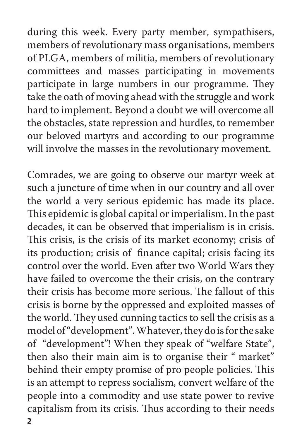during this week. Every party member, sympathisers, members of revolutionary mass organisations, members of PLGA, members of militia, members of revolutionary committees and masses participating in movements participate in large numbers in our programme. They take the oath of moving ahead with the struggle and work hard to implement. Beyond a doubt we will overcome all the obstacles, state repression and hurdles, to remember our beloved martyrs and according to our programme will involve the masses in the revolutionary movement.

Comrades, we are going to observe our martyr week at such a juncture of time when in our country and all over the world a very serious epidemic has made its place. This epidemic is global capital or imperialism. In the past decades, it can be observed that imperialism is in crisis. This crisis, is the crisis of its market economy; crisis of its production; crisis of finance capital; crisis facing its control over the world. Even after two World Wars they have failed to overcome the their crisis, on the contrary their crisis has become more serious. The fallout of this crisis is borne by the oppressed and exploited masses of the world. They used cunning tactics to sell the crisis as a model of "development". Whatever, they do is for the sake of "development"! When they speak of "welfare State", then also their main aim is to organise their " market" behind their empty promise of pro people policies. This is an attempt to repress socialism, convert welfare of the people into a commodity and use state power to revive capitalism from its crisis. Thus according to their needs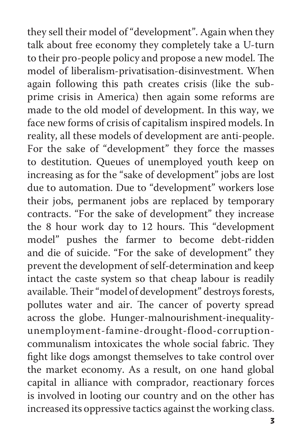they sell their model of "development". Again when they talk about free economy they completely take a U-turn to their pro-people policy and propose a new model. The model of liberalism-privatisation-disinvestment. When again following this path creates crisis (like the subprime crisis in America) then again some reforms are made to the old model of development. In this way, we face new forms of crisis of capitalism inspired models. In reality, all these models of development are anti-people. For the sake of "development" they force the masses to destitution. Queues of unemployed youth keep on increasing as for the "sake of development" jobs are lost due to automation. Due to "development" workers lose their jobs, permanent jobs are replaced by temporary contracts. "For the sake of development" they increase the 8 hour work day to 12 hours. This "development model" pushes the farmer to become debt-ridden and die of suicide. "For the sake of development" they prevent the development of self-determination and keep intact the caste system so that cheap labour is readily available. Their "model of development" destroys forests, pollutes water and air. The cancer of poverty spread across the globe. Hunger-malnourishment-inequalityunemployment-famine-drought-flood-corruptioncommunalism intoxicates the whole social fabric. They fight like dogs amongst themselves to take control over the market economy. As a result, on one hand global capital in alliance with comprador, reactionary forces is involved in looting our country and on the other has increased its oppressive tactics against the working class.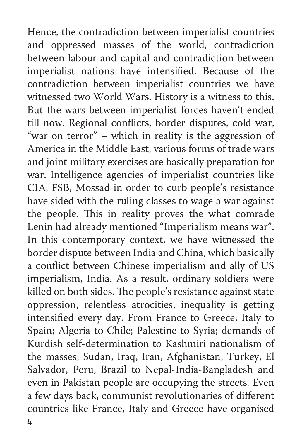Hence, the contradiction between imperialist countries and oppressed masses of the world, contradiction between labour and capital and contradiction between imperialist nations have intensified. Because of the contradiction between imperialist countries we have witnessed two World Wars. History is a witness to this. But the wars between imperialist forces haven't ended till now. Regional conflicts, border disputes, cold war, "war on terror" – which in reality is the aggression of America in the Middle East, various forms of trade wars and joint military exercises are basically preparation for war. Intelligence agencies of imperialist countries like CIA, FSB, Mossad in order to curb people's resistance have sided with the ruling classes to wage a war against the people. This in reality proves the what comrade Lenin had already mentioned "Imperialism means war". In this contemporary context, we have witnessed the border dispute between India and China, which basically a conflict between Chinese imperialism and ally of US imperialism, India. As a result, ordinary soldiers were killed on both sides. The people's resistance against state oppression, relentless atrocities, inequality is getting intensified every day. From France to Greece; Italy to Spain; Algeria to Chile; Palestine to Syria; demands of Kurdish self-determination to Kashmiri nationalism of the masses; Sudan, Iraq, Iran, Afghanistan, Turkey, El Salvador, Peru, Brazil to Nepal-India-Bangladesh and even in Pakistan people are occupying the streets. Even a few days back, communist revolutionaries of different countries like France, Italy and Greece have organised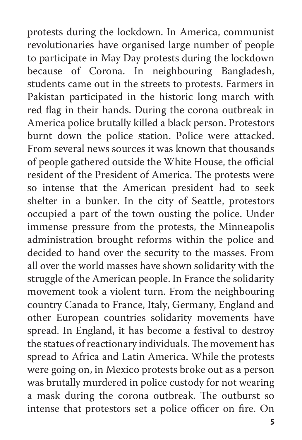protests during the lockdown. In America, communist revolutionaries have organised large number of people to participate in May Day protests during the lockdown because of Corona. In neighbouring Bangladesh, students came out in the streets to protests. Farmers in Pakistan participated in the historic long march with red flag in their hands. During the corona outbreak in America police brutally killed a black person. Protestors burnt down the police station. Police were attacked. From several news sources it was known that thousands of people gathered outside the White House, the official resident of the President of America. The protests were so intense that the American president had to seek shelter in a bunker. In the city of Seattle, protestors occupied a part of the town ousting the police. Under immense pressure from the protests, the Minneapolis administration brought reforms within the police and decided to hand over the security to the masses. From all over the world masses have shown solidarity with the struggle of the American people. In France the solidarity movement took a violent turn. From the neighbouring country Canada to France, Italy, Germany, England and other European countries solidarity movements have spread. In England, it has become a festival to destroy the statues of reactionary individuals. The movement has spread to Africa and Latin America. While the protests were going on, in Mexico protests broke out as a person was brutally murdered in police custody for not wearing a mask during the corona outbreak. The outburst so intense that protestors set a police officer on fire. On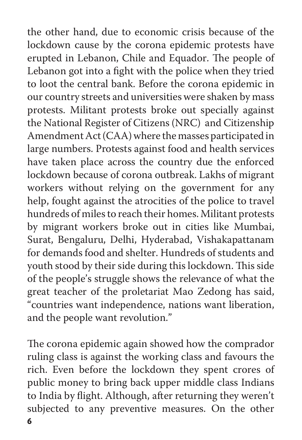the other hand, due to economic crisis because of the lockdown cause by the corona epidemic protests have erupted in Lebanon, Chile and Equador. The people of Lebanon got into a fight with the police when they tried to loot the central bank. Before the corona epidemic in our country streets and universities were shaken by mass protests. Militant protests broke out specially against the National Register of Citizens (NRC) and Citizenship Amendment Act (CAA) where the masses participated in large numbers. Protests against food and health services have taken place across the country due the enforced lockdown because of corona outbreak. Lakhs of migrant workers without relying on the government for any help, fought against the atrocities of the police to travel hundreds of miles to reach their homes. Militant protests by migrant workers broke out in cities like Mumbai, Surat, Bengaluru, Delhi, Hyderabad, Vishakapattanam for demands food and shelter. Hundreds of students and youth stood by their side during this lockdown. This side of the people's struggle shows the relevance of what the great teacher of the proletariat Mao Zedong has said, "countries want independence, nations want liberation, and the people want revolution."

The corona epidemic again showed how the comprador ruling class is against the working class and favours the rich. Even before the lockdown they spent crores of public money to bring back upper middle class Indians to India by flight. Although, after returning they weren't subjected to any preventive measures. On the other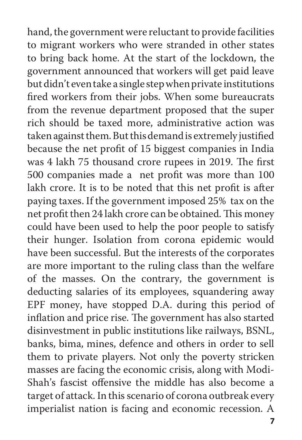hand, the government were reluctant to provide facilities to migrant workers who were stranded in other states to bring back home. At the start of the lockdown, the government announced that workers will get paid leave but didn't even take a single step when private institutions fired workers from their jobs. When some bureaucrats from the revenue department proposed that the super rich should be taxed more, administrative action was taken against them. But this demand is extremely justified because the net profit of 15 biggest companies in India was 4 lakh 75 thousand crore rupees in 2019. The first 500 companies made a net profit was more than 100 lakh crore. It is to be noted that this net profit is after paying taxes. If the government imposed 25% tax on the net profit then 24 lakh crore can be obtained. This money could have been used to help the poor people to satisfy their hunger. Isolation from corona epidemic would have been successful. But the interests of the corporates are more important to the ruling class than the welfare of the masses. On the contrary, the government is deducting salaries of its employees, squandering away EPF money, have stopped D.A. during this period of inflation and price rise. The government has also started disinvestment in public institutions like railways, BSNL, banks, bima, mines, defence and others in order to sell them to private players. Not only the poverty stricken masses are facing the economic crisis, along with Modi-Shah's fascist offensive the middle has also become a target of attack. In this scenario of corona outbreak every imperialist nation is facing and economic recession. A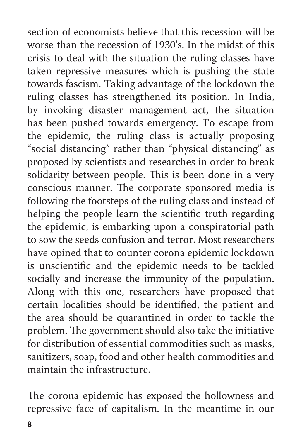section of economists believe that this recession will be worse than the recession of 1930's. In the midst of this crisis to deal with the situation the ruling classes have taken repressive measures which is pushing the state towards fascism. Taking advantage of the lockdown the ruling classes has strengthened its position. In India, by invoking disaster management act, the situation has been pushed towards emergency. To escape from the epidemic, the ruling class is actually proposing "social distancing" rather than "physical distancing" as proposed by scientists and researches in order to break solidarity between people. This is been done in a very conscious manner. The corporate sponsored media is following the footsteps of the ruling class and instead of helping the people learn the scientific truth regarding the epidemic, is embarking upon a conspiratorial path to sow the seeds confusion and terror. Most researchers have opined that to counter corona epidemic lockdown is unscientific and the epidemic needs to be tackled socially and increase the immunity of the population. Along with this one, researchers have proposed that certain localities should be identified, the patient and the area should be quarantined in order to tackle the problem. The government should also take the initiative for distribution of essential commodities such as masks, sanitizers, soap, food and other health commodities and maintain the infrastructure.

The corona epidemic has exposed the hollowness and repressive face of capitalism. In the meantime in our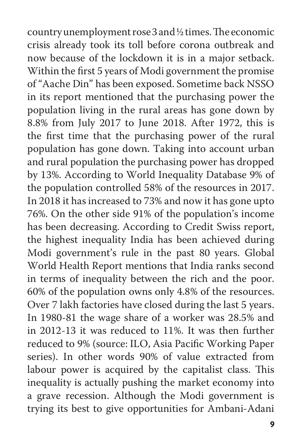country unemployment rose 3 and ½ times. The economic crisis already took its toll before corona outbreak and now because of the lockdown it is in a major setback. Within the first 5 years of Modi government the promise of "Aache Din" has been exposed. Sometime back NSSO in its report mentioned that the purchasing power the population living in the rural areas has gone down by 8.8% from July 2017 to June 2018. After 1972, this is the first time that the purchasing power of the rural population has gone down. Taking into account urban and rural population the purchasing power has dropped by 13%. According to World Inequality Database 9% of the population controlled 58% of the resources in 2017. In 2018 it has increased to 73% and now it has gone upto 76%. On the other side 91% of the population's income has been decreasing. According to Credit Swiss report, the highest inequality India has been achieved during Modi government's rule in the past 80 years. Global World Health Report mentions that India ranks second in terms of inequality between the rich and the poor. 60% of the population owns only 4.8% of the resources. Over 7 lakh factories have closed during the last 5 years. In 1980-81 the wage share of a worker was 28.5% and in 2012-13 it was reduced to 11%. It was then further reduced to 9% (source: ILO, Asia Pacific Working Paper series). In other words 90% of value extracted from labour power is acquired by the capitalist class. This inequality is actually pushing the market economy into a grave recession. Although the Modi government is trying its best to give opportunities for Ambani-Adani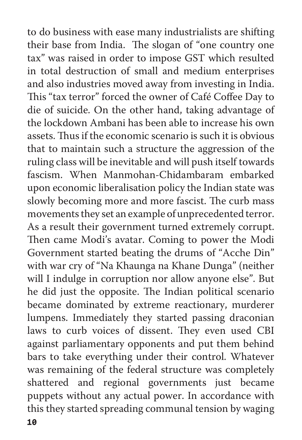to do business with ease many industrialists are shifting their base from India. The slogan of "one country one tax" was raised in order to impose GST which resulted in total destruction of small and medium enterprises and also industries moved away from investing in India. This "tax terror" forced the owner of Café Coffee Day to die of suicide. On the other hand, taking advantage of the lockdown Ambani has been able to increase his own assets. Thus if the economic scenario is such it is obvious that to maintain such a structure the aggression of the ruling class will be inevitable and will push itself towards fascism. When Manmohan-Chidambaram embarked upon economic liberalisation policy the Indian state was slowly becoming more and more fascist. The curb mass movements they set an example of unprecedented terror. As a result their government turned extremely corrupt. Then came Modi's avatar. Coming to power the Modi Government started beating the drums of "Acche Din" with war cry of "Na Khaunga na Khane Dunga" (neither will I indulge in corruption nor allow anyone else". But he did just the opposite. The Indian political scenario became dominated by extreme reactionary, murderer lumpens. Immediately they started passing draconian laws to curb voices of dissent. They even used CBI against parliamentary opponents and put them behind bars to take everything under their control. Whatever was remaining of the federal structure was completely shattered and regional governments just became puppets without any actual power. In accordance with this they started spreading communal tension by waging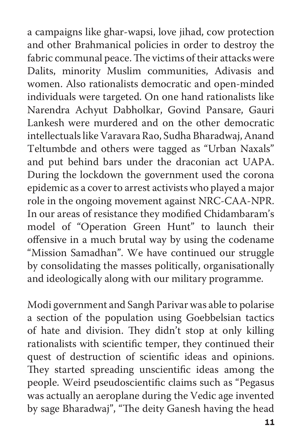a campaigns like ghar-wapsi, love jihad, cow protection and other Brahmanical policies in order to destroy the fabric communal peace. The victims of their attacks were Dalits, minority Muslim communities, Adivasis and women. Also rationalists democratic and open-minded individuals were targeted. On one hand rationalists like Narendra Achyut Dabholkar, Govind Pansare, Gauri Lankesh were murdered and on the other democratic intellectuals like Varavara Rao, Sudha Bharadwaj, Anand Teltumbde and others were tagged as "Urban Naxals" and put behind bars under the draconian act UAPA. During the lockdown the government used the corona epidemic as a cover to arrest activists who played a major role in the ongoing movement against NRC-CAA-NPR. In our areas of resistance they modified Chidambaram's model of "Operation Green Hunt" to launch their offensive in a much brutal way by using the codename "Mission Samadhan". We have continued our struggle by consolidating the masses politically, organisationally and ideologically along with our military programme.

Modi government and Sangh Parivar was able to polarise a section of the population using Goebbelsian tactics of hate and division. They didn't stop at only killing rationalists with scientific temper, they continued their quest of destruction of scientific ideas and opinions. They started spreading unscientific ideas among the people. Weird pseudoscientific claims such as "Pegasus was actually an aeroplane during the Vedic age invented by sage Bharadwaj", "The deity Ganesh having the head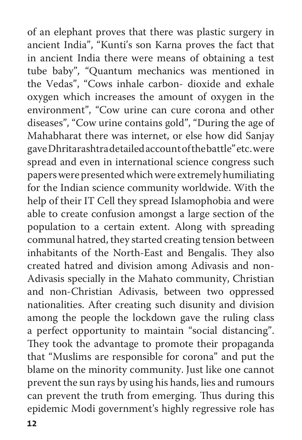of an elephant proves that there was plastic surgery in ancient India", "Kunti's son Karna proves the fact that in ancient India there were means of obtaining a test tube baby", "Quantum mechanics was mentioned in the Vedas", "Cows inhale carbon- dioxide and exhale oxygen which increases the amount of oxygen in the environment", "Cow urine can cure corona and other diseases", "Cow urine contains gold", "During the age of Mahabharat there was internet, or else how did Sanjay gave Dhritarashtra detailed account of the battle" etc. were spread and even in international science congress such papers were presented which were extremely humiliating for the Indian science community worldwide. With the help of their IT Cell they spread Islamophobia and were able to create confusion amongst a large section of the population to a certain extent. Along with spreading communal hatred, they started creating tension between inhabitants of the North-East and Bengalis. They also created hatred and division among Adivasis and non-Adivasis specially in the Mahato community, Christian and non-Christian Adivasis, between two oppressed nationalities. After creating such disunity and division among the people the lockdown gave the ruling class a perfect opportunity to maintain "social distancing". They took the advantage to promote their propaganda that "Muslims are responsible for corona" and put the blame on the minority community. Just like one cannot prevent the sun rays by using his hands, lies and rumours can prevent the truth from emerging. Thus during this epidemic Modi government's highly regressive role has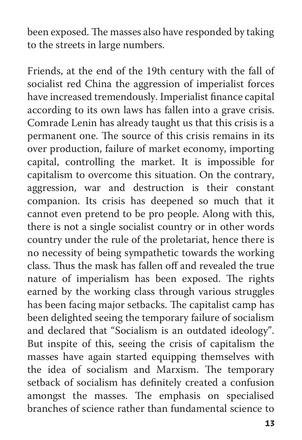been exposed. The masses also have responded by taking to the streets in large numbers.

Friends, at the end of the 19th century with the fall of socialist red China the aggression of imperialist forces have increased tremendously. Imperialist finance capital according to its own laws has fallen into a grave crisis. Comrade Lenin has already taught us that this crisis is a permanent one. The source of this crisis remains in its over production, failure of market economy, importing capital, controlling the market. It is impossible for capitalism to overcome this situation. On the contrary, aggression, war and destruction is their constant companion. Its crisis has deepened so much that it cannot even pretend to be pro people. Along with this, there is not a single socialist country or in other words country under the rule of the proletariat, hence there is no necessity of being sympathetic towards the working class. Thus the mask has fallen off and revealed the true nature of imperialism has been exposed. The rights earned by the working class through various struggles has been facing major setbacks. The capitalist camp has been delighted seeing the temporary failure of socialism and declared that "Socialism is an outdated ideology". But inspite of this, seeing the crisis of capitalism the masses have again started equipping themselves with the idea of socialism and Marxism. The temporary setback of socialism has definitely created a confusion amongst the masses. The emphasis on specialised branches of science rather than fundamental science to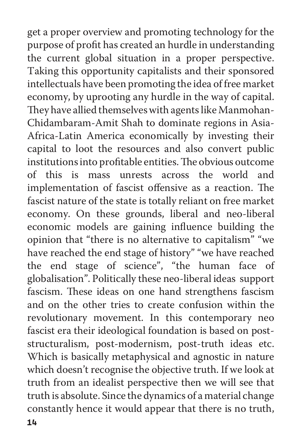get a proper overview and promoting technology for the purpose of profit has created an hurdle in understanding the current global situation in a proper perspective. Taking this opportunity capitalists and their sponsored intellectuals have been promoting the idea of free market economy, by uprooting any hurdle in the way of capital. They have allied themselves with agents like Manmohan-Chidambaram-Amit Shah to dominate regions in Asia-Africa-Latin America economically by investing their capital to loot the resources and also convert public institutions into profitable entities. The obvious outcome of this is mass unrests across the world and implementation of fascist offensive as a reaction. The fascist nature of the state is totally reliant on free market economy. On these grounds, liberal and neo-liberal economic models are gaining influence building the opinion that "there is no alternative to capitalism" "we have reached the end stage of history" "we have reached the end stage of science", "the human face of globalisation". Politically these neo-liberal ideas support fascism. These ideas on one hand strengthens fascism and on the other tries to create confusion within the revolutionary movement. In this contemporary neo fascist era their ideological foundation is based on poststructuralism, post-modernism, post-truth ideas etc. Which is basically metaphysical and agnostic in nature which doesn't recognise the objective truth. If we look at truth from an idealist perspective then we will see that truth is absolute. Since the dynamics of a material change constantly hence it would appear that there is no truth,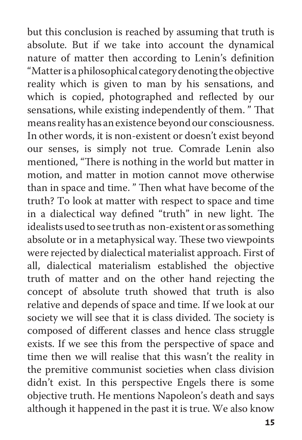but this conclusion is reached by assuming that truth is absolute. But if we take into account the dynamical nature of matter then according to Lenin's definition "Matter is a philosophical category denoting the objective reality which is given to man by his sensations, and which is copied, photographed and reflected by our sensations, while existing independently of them. " That means reality has an existence beyond our consciousness. In other words, it is non-existent or doesn't exist beyond our senses, is simply not true. Comrade Lenin also mentioned, "There is nothing in the world but matter in motion, and matter in motion cannot move otherwise than in space and time. " Then what have become of the truth? To look at matter with respect to space and time in a dialectical way defined "truth" in new light. The idealists used to see truth as non-existent or as something absolute or in a metaphysical way. These two viewpoints were rejected by dialectical materialist approach. First of all, dialectical materialism established the objective truth of matter and on the other hand rejecting the concept of absolute truth showed that truth is also relative and depends of space and time. If we look at our society we will see that it is class divided. The society is composed of different classes and hence class struggle exists. If we see this from the perspective of space and time then we will realise that this wasn't the reality in the premitive communist societies when class division didn't exist. In this perspective Engels there is some objective truth. He mentions Napoleon's death and says although it happened in the past it is true. We also know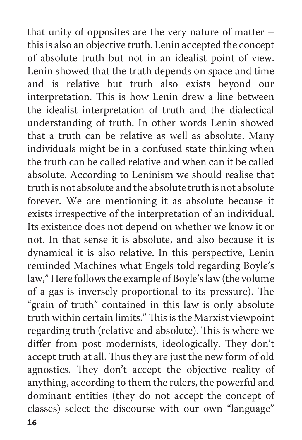that unity of opposites are the very nature of matter – this is also an objective truth. Lenin accepted the concept of absolute truth but not in an idealist point of view. Lenin showed that the truth depends on space and time and is relative but truth also exists beyond our interpretation. This is how Lenin drew a line between the idealist interpretation of truth and the dialectical understanding of truth. In other words Lenin showed that a truth can be relative as well as absolute. Many individuals might be in a confused state thinking when the truth can be called relative and when can it be called absolute. According to Leninism we should realise that truth is not absolute and the absolute truth is not absolute forever. We are mentioning it as absolute because it exists irrespective of the interpretation of an individual. Its existence does not depend on whether we know it or not. In that sense it is absolute, and also because it is dynamical it is also relative. In this perspective, Lenin reminded Machines what Engels told regarding Boyle's law," Here follows the example of Boyle's law (the volume of a gas is inversely proportional to its pressure). The "grain of truth" contained in this law is only absolute truth within certain limits." This is the Marxist viewpoint regarding truth (relative and absolute). This is where we differ from post modernists, ideologically. They don't accept truth at all. Thus they are just the new form of old agnostics. They don't accept the objective reality of anything, according to them the rulers, the powerful and dominant entities (they do not accept the concept of classes) select the discourse with our own "language"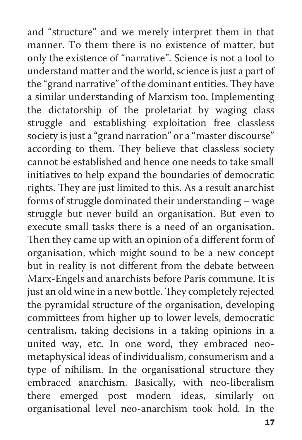and "structure" and we merely interpret them in that manner. To them there is no existence of matter, but only the existence of "narrative". Science is not a tool to understand matter and the world, science is just a part of the "grand narrative" of the dominant entities. They have a similar understanding of Marxism too. Implementing the dictatorship of the proletariat by waging class struggle and establishing exploitation free classless society is just a "grand narration" or a "master discourse" according to them. They believe that classless society cannot be established and hence one needs to take small initiatives to help expand the boundaries of democratic rights. They are just limited to this. As a result anarchist forms of struggle dominated their understanding – wage struggle but never build an organisation. But even to execute small tasks there is a need of an organisation. Then they came up with an opinion of a different form of organisation, which might sound to be a new concept but in reality is not different from the debate between Marx-Engels and anarchists before Paris commune. It is just an old wine in a new bottle. They completely rejected the pyramidal structure of the organisation, developing committees from higher up to lower levels, democratic centralism, taking decisions in a taking opinions in a united way, etc. In one word, they embraced neometaphysical ideas of individualism, consumerism and a type of nihilism. In the organisational structure they embraced anarchism. Basically, with neo-liberalism there emerged post modern ideas, similarly on organisational level neo-anarchism took hold. In the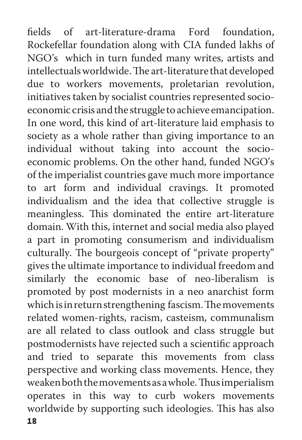fields of art-literature-drama Ford foundation, Rockefellar foundation along with CIA funded lakhs of NGO's which in turn funded many writes, artists and intellectuals worldwide. The art-literature that developed due to workers movements, proletarian revolution, initiatives taken by socialist countries represented socioeconomic crisis and the struggle to achieve emancipation. In one word, this kind of art-literature laid emphasis to society as a whole rather than giving importance to an individual without taking into account the socioeconomic problems. On the other hand, funded NGO's of the imperialist countries gave much more importance to art form and individual cravings. It promoted individualism and the idea that collective struggle is meaningless. This dominated the entire art-literature domain. With this, internet and social media also played a part in promoting consumerism and individualism culturally. The bourgeois concept of "private property" gives the ultimate importance to individual freedom and similarly the economic base of neo-liberalism is promoted by post modernists in a neo anarchist form which is in return strengthening fascism. The movements related women-rights, racism, casteism, communalism are all related to class outlook and class struggle but postmodernists have rejected such a scientific approach and tried to separate this movements from class perspective and working class movements. Hence, they weaken both the movements as a whole. Thus imperialism operates in this way to curb wokers movements worldwide by supporting such ideologies. This has also 18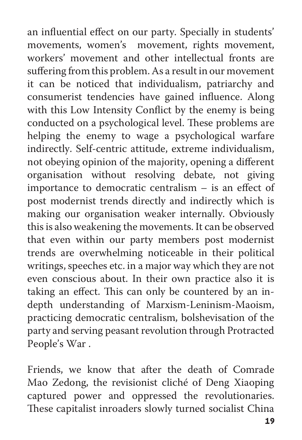an influential effect on our party. Specially in students' movements, women's movement, rights movement, workers' movement and other intellectual fronts are suffering from this problem. As a result in our movement it can be noticed that individualism, patriarchy and consumerist tendencies have gained influence. Along with this Low Intensity Conflict by the enemy is being conducted on a psychological level. These problems are helping the enemy to wage a psychological warfare indirectly. Self-centric attitude, extreme individualism, not obeying opinion of the majority, opening a different organisation without resolving debate, not giving importance to democratic centralism – is an effect of post modernist trends directly and indirectly which is making our organisation weaker internally. Obviously this is also weakening the movements. It can be observed that even within our party members post modernist trends are overwhelming noticeable in their political writings, speeches etc. in a major way which they are not even conscious about. In their own practice also it is taking an effect. This can only be countered by an indepth understanding of Marxism-Leninism-Maoism, practicing democratic centralism, bolshevisation of the party and serving peasant revolution through Protracted People's War .

Friends, we know that after the death of Comrade Mao Zedong, the revisionist cliché of Deng Xiaoping captured power and oppressed the revolutionaries. These capitalist inroaders slowly turned socialist China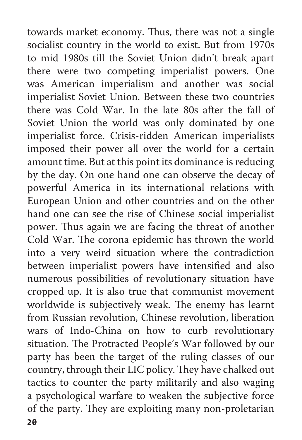towards market economy. Thus, there was not a single socialist country in the world to exist. But from 1970s to mid 1980s till the Soviet Union didn't break apart there were two competing imperialist powers. One was American imperialism and another was social imperialist Soviet Union. Between these two countries there was Cold War. In the late 80s after the fall of Soviet Union the world was only dominated by one imperialist force. Crisis-ridden American imperialists imposed their power all over the world for a certain amount time. But at this point its dominance is reducing by the day. On one hand one can observe the decay of powerful America in its international relations with European Union and other countries and on the other hand one can see the rise of Chinese social imperialist power. Thus again we are facing the threat of another Cold War. The corona epidemic has thrown the world into a very weird situation where the contradiction between imperialist powers have intensified and also numerous possibilities of revolutionary situation have cropped up. It is also true that communist movement worldwide is subjectively weak. The enemy has learnt from Russian revolution, Chinese revolution, liberation wars of Indo-China on how to curb revolutionary situation. The Protracted People's War followed by our party has been the target of the ruling classes of our country, through their LIC policy. They have chalked out tactics to counter the party militarily and also waging a psychological warfare to weaken the subjective force of the party. They are exploiting many non-proletarian 20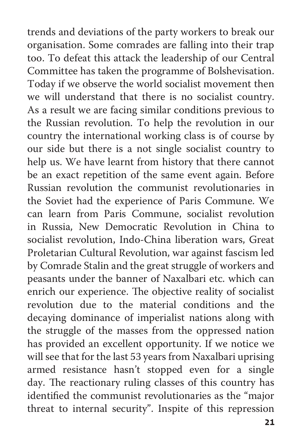trends and deviations of the party workers to break our organisation. Some comrades are falling into their trap too. To defeat this attack the leadership of our Central Committee has taken the programme of Bolshevisation. Today if we observe the world socialist movement then we will understand that there is no socialist country. As a result we are facing similar conditions previous to the Russian revolution. To help the revolution in our country the international working class is of course by our side but there is a not single socialist country to help us. We have learnt from history that there cannot be an exact repetition of the same event again. Before Russian revolution the communist revolutionaries in the Soviet had the experience of Paris Commune. We can learn from Paris Commune, socialist revolution in Russia, New Democratic Revolution in China to socialist revolution, Indo-China liberation wars, Great Proletarian Cultural Revolution, war against fascism led by Comrade Stalin and the great struggle of workers and peasants under the banner of Naxalbari etc. which can enrich our experience. The objective reality of socialist revolution due to the material conditions and the decaying dominance of imperialist nations along with the struggle of the masses from the oppressed nation has provided an excellent opportunity. If we notice we will see that for the last 53 years from Naxalbari uprising armed resistance hasn't stopped even for a single day. The reactionary ruling classes of this country has identified the communist revolutionaries as the "major threat to internal security". Inspite of this repression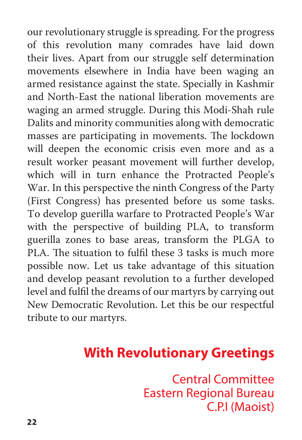our revolutionary struggle is spreading. For the progress of this revolution many comrades have laid down their lives. Apart from our struggle self determination movements elsewhere in India have been waging an armed resistance against the state. Specially in Kashmir and North-East the national liberation movements are waging an armed struggle. During this Modi-Shah rule Dalits and minority communities along with democratic masses are participating in movements. The lockdown will deepen the economic crisis even more and as a result worker peasant movement will further develop, which will in turn enhance the Protracted People's War. In this perspective the ninth Congress of the Party (First Congress) has presented before us some tasks. To develop guerilla warfare to Protracted People's War with the perspective of building PLA, to transform guerilla zones to base areas, transform the PLGA to PLA. The situation to fulfil these 3 tasks is much more possible now. Let us take advantage of this situation and develop peasant revolution to a further developed level and fulfil the dreams of our martyrs by carrying out New Democratic Revolution. Let this be our respectful tribute to our martyrs.

## **With Revolutionary Greetings**

**Central Committee Eastern Regional Bureau** C.P.I (Maoist)